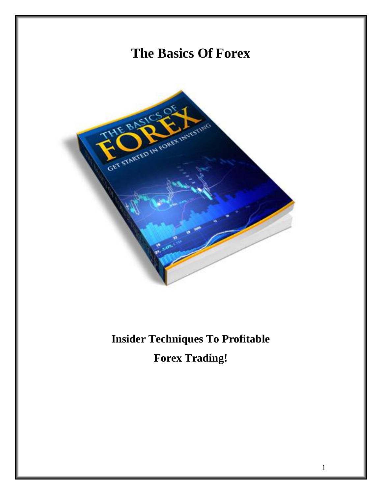

# **Insider Techniques To Profitable Forex Trading!**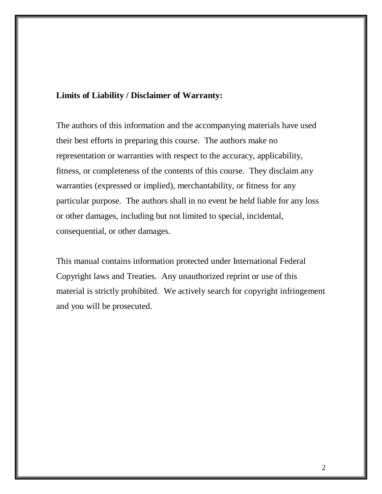# **Limits of Liability / Disclaimer of Warranty:**

The authors of this information and the accompanying materials have used their best efforts in preparing this course. The authors make no representation or warranties with respect to the accuracy, applicability, fitness, or completeness of the contents of this course. They disclaim any warranties (expressed or implied), merchantability, or fitness for any particular purpose. The authors shall in no event be held liable for any loss or other damages, including but not limited to special, incidental, consequential, or other damages.

This manual contains information protected under International Federal Copyright laws and Treaties. Any unauthorized reprint or use of this material is strictly prohibited. We actively search for copyright infringement and you will be prosecuted.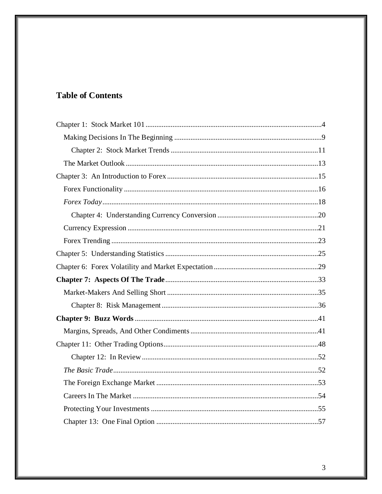# **Table of Contents**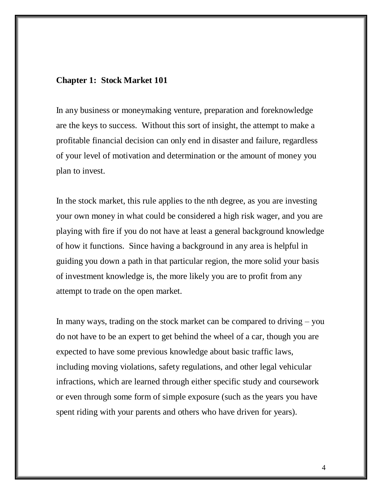# **Chapter 1: Stock Market 101**

In any business or moneymaking venture, preparation and foreknowledge are the keys to success. Without this sort of insight, the attempt to make a profitable financial decision can only end in disaster and failure, regardless of your level of motivation and determination or the amount of money you plan to invest.

In the stock market, this rule applies to the nth degree, as you are investing your own money in what could be considered a high risk wager, and you are playing with fire if you do not have at least a general background knowledge of how it functions. Since having a background in any area is helpful in guiding you down a path in that particular region, the more solid your basis of investment knowledge is, the more likely you are to profit from any attempt to trade on the open market.

In many ways, trading on the stock market can be compared to driving – you do not have to be an expert to get behind the wheel of a car, though you are expected to have some previous knowledge about basic traffic laws, including moving violations, safety regulations, and other legal vehicular infractions, which are learned through either specific study and coursework or even through some form of simple exposure (such as the years you have spent riding with your parents and others who have driven for years).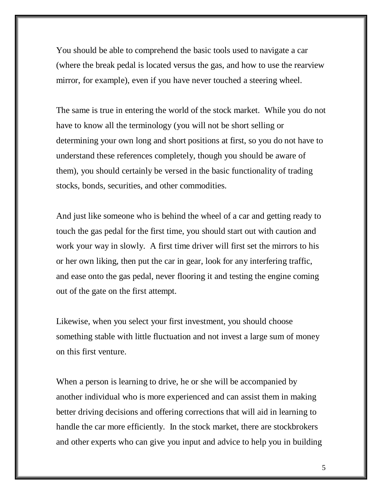You should be able to comprehend the basic tools used to navigate a car (where the break pedal is located versus the gas, and how to use the rearview mirror, for example), even if you have never touched a steering wheel.

The same is true in entering the world of the stock market. While you do not have to know all the terminology (you will not be short selling or determining your own long and short positions at first, so you do not have to understand these references completely, though you should be aware of them), you should certainly be versed in the basic functionality of trading stocks, bonds, securities, and other commodities.

And just like someone who is behind the wheel of a car and getting ready to touch the gas pedal for the first time, you should start out with caution and work your way in slowly. A first time driver will first set the mirrors to his or her own liking, then put the car in gear, look for any interfering traffic, and ease onto the gas pedal, never flooring it and testing the engine coming out of the gate on the first attempt.

Likewise, when you select your first investment, you should choose something stable with little fluctuation and not invest a large sum of money on this first venture.

When a person is learning to drive, he or she will be accompanied by another individual who is more experienced and can assist them in making better driving decisions and offering corrections that will aid in learning to handle the car more efficiently. In the stock market, there are stockbrokers and other experts who can give you input and advice to help you in building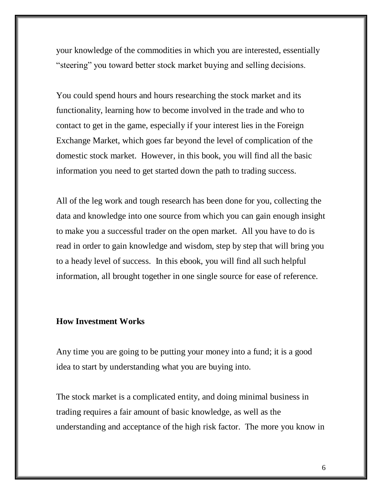your knowledge of the commodities in which you are interested, essentially "steering" you toward better stock market buying and selling decisions.

You could spend hours and hours researching the stock market and its functionality, learning how to become involved in the trade and who to contact to get in the game, especially if your interest lies in the Foreign Exchange Market, which goes far beyond the level of complication of the domestic stock market. However, in this book, you will find all the basic information you need to get started down the path to trading success.

All of the leg work and tough research has been done for you, collecting the data and knowledge into one source from which you can gain enough insight to make you a successful trader on the open market. All you have to do is read in order to gain knowledge and wisdom, step by step that will bring you to a heady level of success. In this ebook, you will find all such helpful information, all brought together in one single source for ease of reference.

# **How Investment Works**

Any time you are going to be putting your money into a fund; it is a good idea to start by understanding what you are buying into.

The stock market is a complicated entity, and doing minimal business in trading requires a fair amount of basic knowledge, as well as the understanding and acceptance of the high risk factor. The more you know in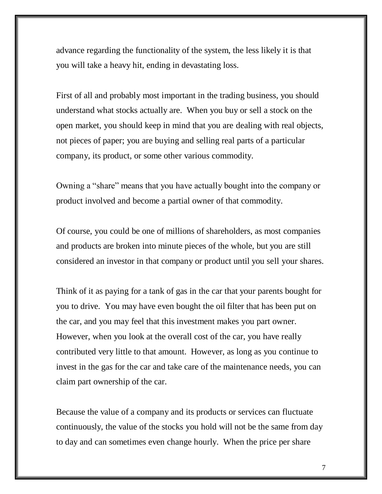advance regarding the functionality of the system, the less likely it is that you will take a heavy hit, ending in devastating loss.

First of all and probably most important in the trading business, you should understand what stocks actually are. When you buy or sell a stock on the open market, you should keep in mind that you are dealing with real objects, not pieces of paper; you are buying and selling real parts of a particular company, its product, or some other various commodity.

Owning a "share" means that you have actually bought into the company or product involved and become a partial owner of that commodity.

Of course, you could be one of millions of shareholders, as most companies and products are broken into minute pieces of the whole, but you are still considered an investor in that company or product until you sell your shares.

Think of it as paying for a tank of gas in the car that your parents bought for you to drive. You may have even bought the oil filter that has been put on the car, and you may feel that this investment makes you part owner. However, when you look at the overall cost of the car, you have really contributed very little to that amount. However, as long as you continue to invest in the gas for the car and take care of the maintenance needs, you can claim part ownership of the car.

Because the value of a company and its products or services can fluctuate continuously, the value of the stocks you hold will not be the same from day to day and can sometimes even change hourly. When the price per share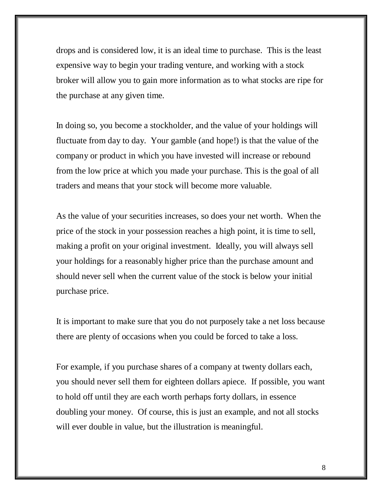drops and is considered low, it is an ideal time to purchase. This is the least expensive way to begin your trading venture, and working with a stock broker will allow you to gain more information as to what stocks are ripe for the purchase at any given time.

In doing so, you become a stockholder, and the value of your holdings will fluctuate from day to day. Your gamble (and hope!) is that the value of the company or product in which you have invested will increase or rebound from the low price at which you made your purchase. This is the goal of all traders and means that your stock will become more valuable.

As the value of your securities increases, so does your net worth. When the price of the stock in your possession reaches a high point, it is time to sell, making a profit on your original investment. Ideally, you will always sell your holdings for a reasonably higher price than the purchase amount and should never sell when the current value of the stock is below your initial purchase price.

It is important to make sure that you do not purposely take a net loss because there are plenty of occasions when you could be forced to take a loss.

For example, if you purchase shares of a company at twenty dollars each, you should never sell them for eighteen dollars apiece. If possible, you want to hold off until they are each worth perhaps forty dollars, in essence doubling your money. Of course, this is just an example, and not all stocks will ever double in value, but the illustration is meaningful.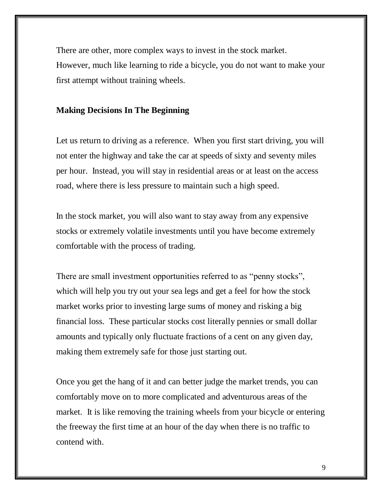There are other, more complex ways to invest in the stock market. However, much like learning to ride a bicycle, you do not want to make your first attempt without training wheels.

# **Making Decisions In The Beginning**

Let us return to driving as a reference. When you first start driving, you will not enter the highway and take the car at speeds of sixty and seventy miles per hour. Instead, you will stay in residential areas or at least on the access road, where there is less pressure to maintain such a high speed.

In the stock market, you will also want to stay away from any expensive stocks or extremely volatile investments until you have become extremely comfortable with the process of trading.

There are small investment opportunities referred to as "penny stocks", which will help you try out your sea legs and get a feel for how the stock market works prior to investing large sums of money and risking a big financial loss. These particular stocks cost literally pennies or small dollar amounts and typically only fluctuate fractions of a cent on any given day, making them extremely safe for those just starting out.

Once you get the hang of it and can better judge the market trends, you can comfortably move on to more complicated and adventurous areas of the market. It is like removing the training wheels from your bicycle or entering the freeway the first time at an hour of the day when there is no traffic to contend with.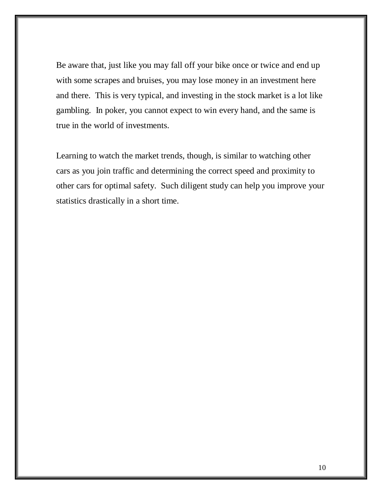Be aware that, just like you may fall off your bike once or twice and end up with some scrapes and bruises, you may lose money in an investment here and there. This is very typical, and investing in the stock market is a lot like gambling. In poker, you cannot expect to win every hand, and the same is true in the world of investments.

Learning to watch the market trends, though, is similar to watching other cars as you join traffic and determining the correct speed and proximity to other cars for optimal safety. Such diligent study can help you improve your statistics drastically in a short time.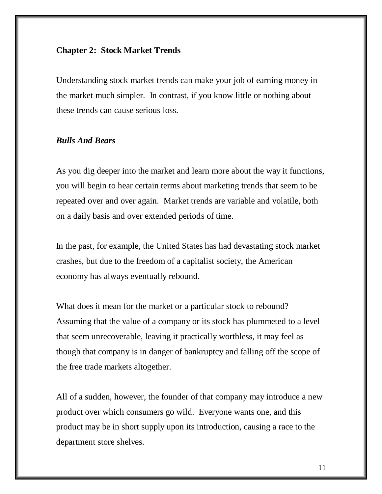## **Chapter 2: Stock Market Trends**

Understanding stock market trends can make your job of earning money in the market much simpler. In contrast, if you know little or nothing about these trends can cause serious loss.

## *Bulls And Bears*

As you dig deeper into the market and learn more about the way it functions, you will begin to hear certain terms about marketing trends that seem to be repeated over and over again. Market trends are variable and volatile, both on a daily basis and over extended periods of time.

In the past, for example, the United States has had devastating stock market crashes, but due to the freedom of a capitalist society, the American economy has always eventually rebound.

What does it mean for the market or a particular stock to rebound? Assuming that the value of a company or its stock has plummeted to a level that seem unrecoverable, leaving it practically worthless, it may feel as though that company is in danger of bankruptcy and falling off the scope of the free trade markets altogether.

All of a sudden, however, the founder of that company may introduce a new product over which consumers go wild. Everyone wants one, and this product may be in short supply upon its introduction, causing a race to the department store shelves.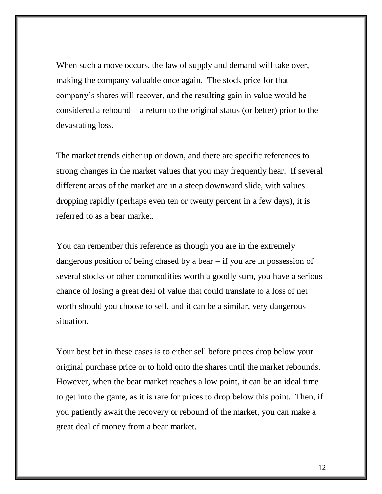When such a move occurs, the law of supply and demand will take over, making the company valuable once again. The stock price for that company's shares will recover, and the resulting gain in value would be considered a rebound – a return to the original status (or better) prior to the devastating loss.

The market trends either up or down, and there are specific references to strong changes in the market values that you may frequently hear. If several different areas of the market are in a steep downward slide, with values dropping rapidly (perhaps even ten or twenty percent in a few days), it is referred to as a bear market.

You can remember this reference as though you are in the extremely dangerous position of being chased by a bear – if you are in possession of several stocks or other commodities worth a goodly sum, you have a serious chance of losing a great deal of value that could translate to a loss of net worth should you choose to sell, and it can be a similar, very dangerous situation.

Your best bet in these cases is to either sell before prices drop below your original purchase price or to hold onto the shares until the market rebounds. However, when the bear market reaches a low point, it can be an ideal time to get into the game, as it is rare for prices to drop below this point. Then, if you patiently await the recovery or rebound of the market, you can make a great deal of money from a bear market.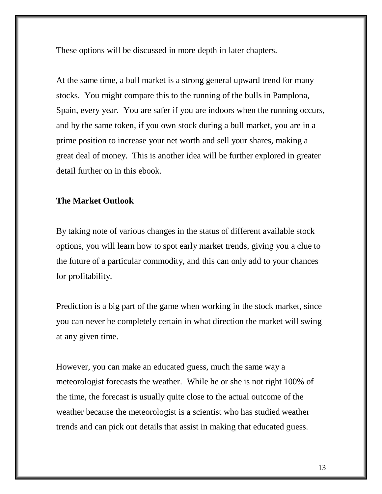These options will be discussed in more depth in later chapters.

At the same time, a bull market is a strong general upward trend for many stocks. You might compare this to the running of the bulls in Pamplona, Spain, every year. You are safer if you are indoors when the running occurs, and by the same token, if you own stock during a bull market, you are in a prime position to increase your net worth and sell your shares, making a great deal of money. This is another idea will be further explored in greater detail further on in this ebook.

# **The Market Outlook**

By taking note of various changes in the status of different available stock options, you will learn how to spot early market trends, giving you a clue to the future of a particular commodity, and this can only add to your chances for profitability.

Prediction is a big part of the game when working in the stock market, since you can never be completely certain in what direction the market will swing at any given time.

However, you can make an educated guess, much the same way a meteorologist forecasts the weather. While he or she is not right 100% of the time, the forecast is usually quite close to the actual outcome of the weather because the meteorologist is a scientist who has studied weather trends and can pick out details that assist in making that educated guess.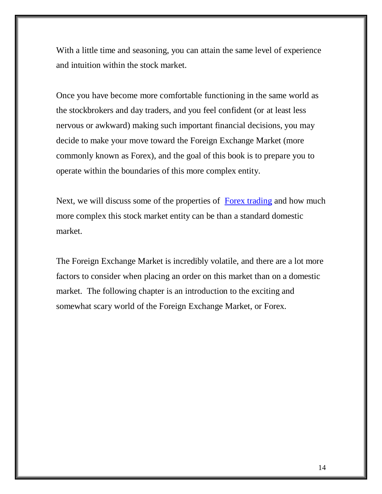With a little time and seasoning, you can attain the same level of experience and intuition within the stock market.

Once you have become more comfortable functioning in the same world as the stockbrokers and day traders, and you feel confident (or at least less nervous or awkward) making such important financial decisions, you may decide to make your move toward the Foreign Exchange Market (more commonly known as Forex), and the goal of this book is to prepare you to operate within the boundaries of this more complex entity.

Next, we will discuss some of the properties of Forex [trading](http://www.stocksbiz.com/) and how much more complex this stock market entity can be than a standard domestic market.

The Foreign Exchange Market is incredibly volatile, and there are a lot more factors to consider when placing an order on this market than on a domestic market. The following chapter is an introduction to the exciting and somewhat scary world of the Foreign Exchange Market, or Forex.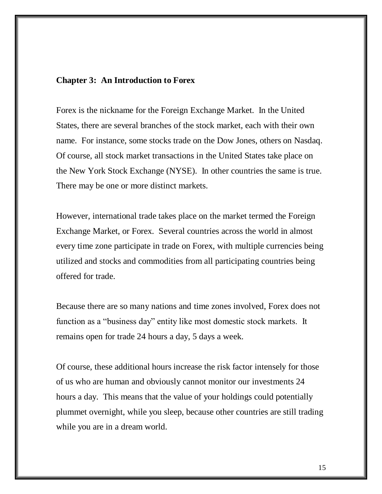# **Chapter 3: An Introduction to Forex**

Forex is the nickname for the Foreign Exchange Market. In the United States, there are several branches of the stock market, each with their own name. For instance, some stocks trade on the Dow Jones, others on Nasdaq. Of course, all stock market transactions in the United States take place on the New York Stock Exchange (NYSE). In other countries the same is true. There may be one or more distinct markets.

However, international trade takes place on the market termed the Foreign Exchange Market, or Forex. Several countries across the world in almost every time zone participate in trade on Forex, with multiple currencies being utilized and stocks and commodities from all participating countries being offered for trade.

Because there are so many nations and time zones involved, Forex does not function as a "business day" entity like most domestic stock markets. It remains open for trade 24 hours a day, 5 days a week.

Of course, these additional hours increase the risk factor intensely for those of us who are human and obviously cannot monitor our investments 24 hours a day. This means that the value of your holdings could potentially plummet overnight, while you sleep, because other countries are still trading while you are in a dream world.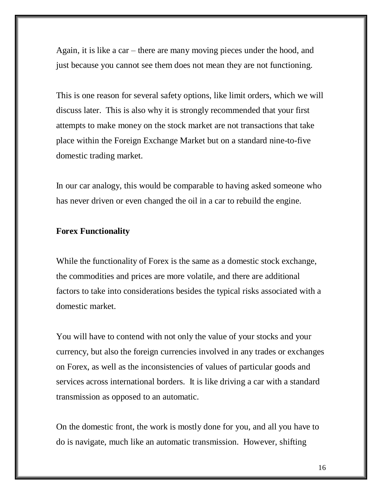Again, it is like a car – there are many moving pieces under the hood, and just because you cannot see them does not mean they are not functioning.

This is one reason for several safety options, like limit orders, which we will discuss later. This is also why it is strongly recommended that your first attempts to make money on the stock market are not transactions that take place within the Foreign Exchange Market but on a standard nine-to-five domestic trading market.

In our car analogy, this would be comparable to having asked someone who has never driven or even changed the oil in a car to rebuild the engine.

# **Forex Functionality**

While the functionality of Forex is the same as a domestic stock exchange, the commodities and prices are more volatile, and there are additional factors to take into considerations besides the typical risks associated with a domestic market.

You will have to contend with not only the value of your stocks and your currency, but also the foreign currencies involved in any trades or exchanges on Forex, as well as the inconsistencies of values of particular goods and services across international borders. It is like driving a car with a standard transmission as opposed to an automatic.

On the domestic front, the work is mostly done for you, and all you have to do is navigate, much like an automatic transmission. However, shifting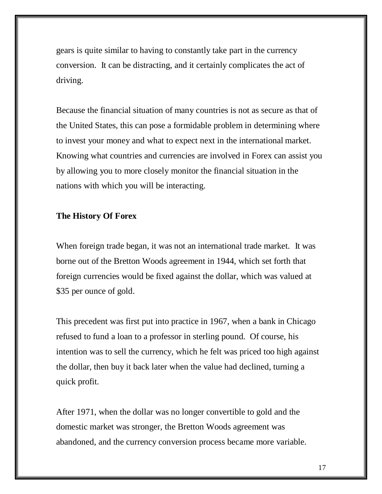gears is quite similar to having to constantly take part in the currency conversion. It can be distracting, and it certainly complicates the act of driving.

Because the financial situation of many countries is not as secure as that of the United States, this can pose a formidable problem in determining where to invest your money and what to expect next in the international market. Knowing what countries and currencies are involved in Forex can assist you by allowing you to more closely monitor the financial situation in the nations with which you will be interacting.

## **The History Of Forex**

When foreign trade began, it was not an international trade market. It was borne out of the Bretton Woods agreement in 1944, which set forth that foreign currencies would be fixed against the dollar, which was valued at \$35 per ounce of gold.

This precedent was first put into practice in 1967, when a bank in Chicago refused to fund a loan to a professor in sterling pound. Of course, his intention was to sell the currency, which he felt was priced too high against the dollar, then buy it back later when the value had declined, turning a quick profit.

After 1971, when the dollar was no longer convertible to gold and the domestic market was stronger, the Bretton Woods agreement was abandoned, and the currency conversion process became more variable.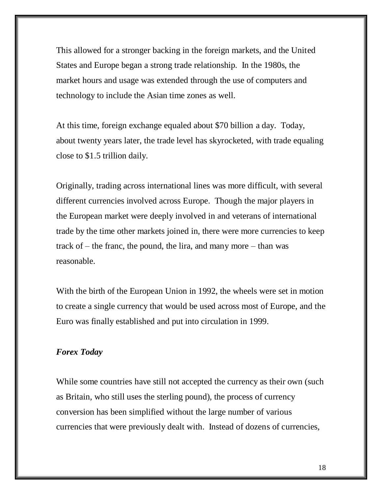This allowed for a stronger backing in the foreign markets, and the United States and Europe began a strong trade relationship. In the 1980s, the market hours and usage was extended through the use of computers and technology to include the Asian time zones as well.

At this time, foreign exchange equaled about \$70 billion a day. Today, about twenty years later, the trade level has skyrocketed, with trade equaling close to \$1.5 trillion daily.

Originally, trading across international lines was more difficult, with several different currencies involved across Europe. Though the major players in the European market were deeply involved in and veterans of international trade by the time other markets joined in, there were more currencies to keep track of – the franc, the pound, the lira, and many more – than was reasonable.

With the birth of the European Union in 1992, the wheels were set in motion to create a single currency that would be used across most of Europe, and the Euro was finally established and put into circulation in 1999.

## *Forex Today*

While some countries have still not accepted the currency as their own (such as Britain, who still uses the sterling pound), the process of currency conversion has been simplified without the large number of various currencies that were previously dealt with. Instead of dozens of currencies,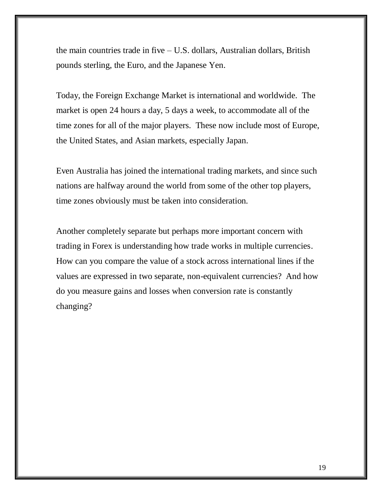the main countries trade in five – U.S. dollars, Australian dollars, British pounds sterling, the Euro, and the Japanese Yen.

Today, the Foreign Exchange Market is international and worldwide. The market is open 24 hours a day, 5 days a week, to accommodate all of the time zones for all of the major players. These now include most of Europe, the United States, and Asian markets, especially Japan.

Even Australia has joined the international trading markets, and since such nations are halfway around the world from some of the other top players, time zones obviously must be taken into consideration.

Another completely separate but perhaps more important concern with trading in Forex is understanding how trade works in multiple currencies. How can you compare the value of a stock across international lines if the values are expressed in two separate, non-equivalent currencies? And how do you measure gains and losses when conversion rate is constantly changing?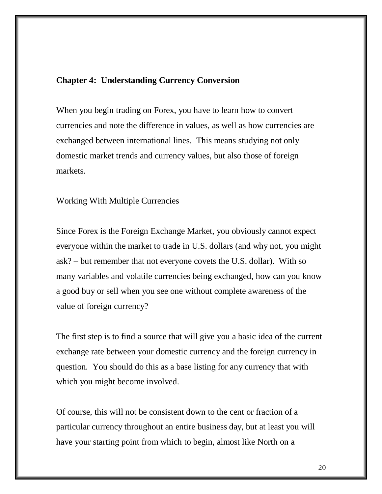# **Chapter 4: Understanding Currency Conversion**

When you begin trading on Forex, you have to learn how to convert currencies and note the difference in values, as well as how currencies are exchanged between international lines. This means studying not only domestic market trends and currency values, but also those of foreign markets.

## Working With Multiple Currencies

Since Forex is the Foreign Exchange Market, you obviously cannot expect everyone within the market to trade in U.S. dollars (and why not, you might ask? – but remember that not everyone covets the U.S. dollar). With so many variables and volatile currencies being exchanged, how can you know a good buy or sell when you see one without complete awareness of the value of foreign currency?

The first step is to find a source that will give you a basic idea of the current exchange rate between your domestic currency and the foreign currency in question. You should do this as a base listing for any currency that with which you might become involved.

Of course, this will not be consistent down to the cent or fraction of a particular currency throughout an entire business day, but at least you will have your starting point from which to begin, almost like North on a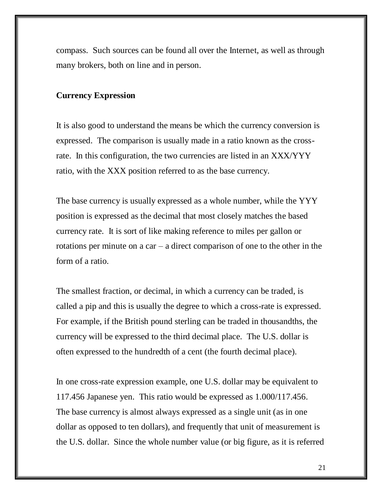compass. Such sources can be found all over the Internet, as well as through many brokers, both on line and in person.

## **Currency Expression**

It is also good to understand the means be which the currency conversion is expressed. The comparison is usually made in a ratio known as the crossrate. In this configuration, the two currencies are listed in an XXX/YYY ratio, with the XXX position referred to as the base currency.

The base currency is usually expressed as a whole number, while the YYY position is expressed as the decimal that most closely matches the based currency rate. It is sort of like making reference to miles per gallon or rotations per minute on a car – a direct comparison of one to the other in the form of a ratio.

The smallest fraction, or decimal, in which a currency can be traded, is called a pip and this is usually the degree to which a cross-rate is expressed. For example, if the British pound sterling can be traded in thousandths, the currency will be expressed to the third decimal place. The U.S. dollar is often expressed to the hundredth of a cent (the fourth decimal place).

In one cross-rate expression example, one U.S. dollar may be equivalent to 117.456 Japanese yen. This ratio would be expressed as 1.000/117.456. The base currency is almost always expressed as a single unit (as in one dollar as opposed to ten dollars), and frequently that unit of measurement is the U.S. dollar. Since the whole number value (or big figure, as it is referred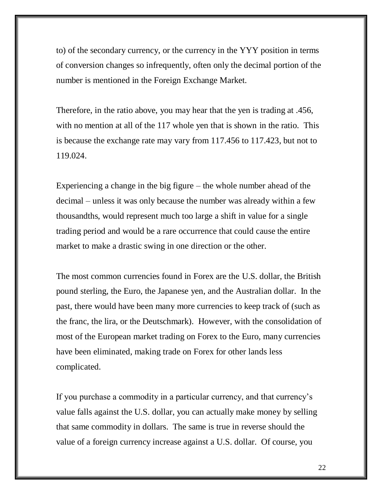to) of the secondary currency, or the currency in the YYY position in terms of conversion changes so infrequently, often only the decimal portion of the number is mentioned in the Foreign Exchange Market.

Therefore, in the ratio above, you may hear that the yen is trading at .456, with no mention at all of the 117 whole yen that is shown in the ratio. This is because the exchange rate may vary from 117.456 to 117.423, but not to 119.024.

Experiencing a change in the big figure – the whole number ahead of the decimal – unless it was only because the number was already within a few thousandths, would represent much too large a shift in value for a single trading period and would be a rare occurrence that could cause the entire market to make a drastic swing in one direction or the other.

The most common currencies found in Forex are the U.S. dollar, the British pound sterling, the Euro, the Japanese yen, and the Australian dollar. In the past, there would have been many more currencies to keep track of (such as the franc, the lira, or the Deutschmark). However, with the consolidation of most of the European market trading on Forex to the Euro, many currencies have been eliminated, making trade on Forex for other lands less complicated.

If you purchase a commodity in a particular currency, and that currency's value falls against the U.S. dollar, you can actually make money by selling that same commodity in dollars. The same is true in reverse should the value of a foreign currency increase against a U.S. dollar. Of course, you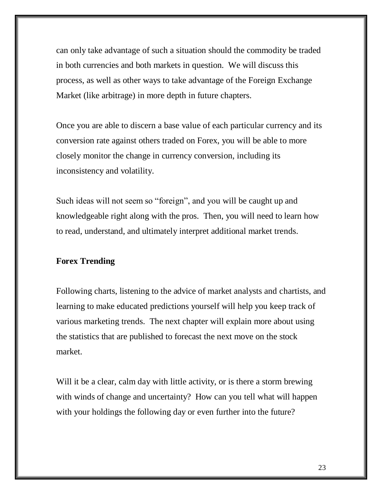can only take advantage of such a situation should the commodity be traded in both currencies and both markets in question. We will discuss this process, as well as other ways to take advantage of the Foreign Exchange Market (like arbitrage) in more depth in future chapters.

Once you are able to discern a base value of each particular currency and its conversion rate against others traded on Forex, you will be able to more closely monitor the change in currency conversion, including its inconsistency and volatility.

Such ideas will not seem so "foreign", and you will be caught up and knowledgeable right along with the pros. Then, you will need to learn how to read, understand, and ultimately interpret additional market trends.

# **Forex Trending**

Following charts, listening to the advice of market analysts and chartists, and learning to make educated predictions yourself will help you keep track of various marketing trends. The next chapter will explain more about using the statistics that are published to forecast the next move on the stock market.

Will it be a clear, calm day with little activity, or is there a storm brewing with winds of change and uncertainty? How can you tell what will happen with your holdings the following day or even further into the future?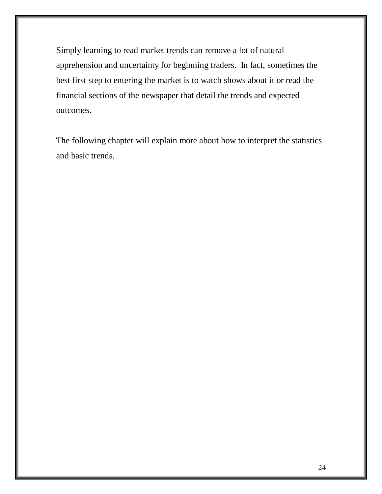Simply learning to read market trends can remove a lot of natural apprehension and uncertainty for beginning traders. In fact, sometimes the best first step to entering the market is to watch shows about it or read the financial sections of the newspaper that detail the trends and expected outcomes.

The following chapter will explain more about how to interpret the statistics and basic trends.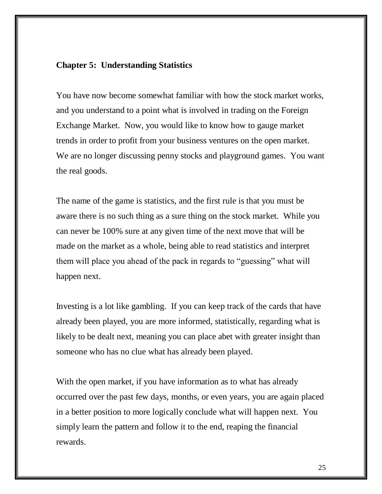## **Chapter 5: Understanding Statistics**

You have now become somewhat familiar with how the stock market works, and you understand to a point what is involved in trading on the Foreign Exchange Market. Now, you would like to know how to gauge market trends in order to profit from your business ventures on the open market. We are no longer discussing penny stocks and playground games. You want the real goods.

The name of the game is statistics, and the first rule is that you must be aware there is no such thing as a sure thing on the stock market. While you can never be 100% sure at any given time of the next move that will be made on the market as a whole, being able to read statistics and interpret them will place you ahead of the pack in regards to "guessing" what will happen next.

Investing is a lot like gambling. If you can keep track of the cards that have already been played, you are more informed, statistically, regarding what is likely to be dealt next, meaning you can place abet with greater insight than someone who has no clue what has already been played.

With the open market, if you have information as to what has already occurred over the past few days, months, or even years, you are again placed in a better position to more logically conclude what will happen next. You simply learn the pattern and follow it to the end, reaping the financial rewards.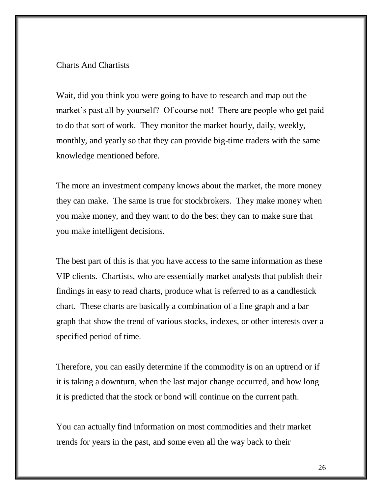## Charts And Chartists

Wait, did you think you were going to have to research and map out the market's past all by yourself? Of course not! There are people who get paid to do that sort of work. They monitor the market hourly, daily, weekly, monthly, and yearly so that they can provide big-time traders with the same knowledge mentioned before.

The more an investment company knows about the market, the more money they can make. The same is true for stockbrokers. They make money when you make money, and they want to do the best they can to make sure that you make intelligent decisions.

The best part of this is that you have access to the same information as these VIP clients. Chartists, who are essentially market analysts that publish their findings in easy to read charts, produce what is referred to as a candlestick chart. These charts are basically a combination of a line graph and a bar graph that show the trend of various stocks, indexes, or other interests over a specified period of time.

Therefore, you can easily determine if the commodity is on an uptrend or if it is taking a downturn, when the last major change occurred, and how long it is predicted that the stock or bond will continue on the current path.

You can actually find information on most commodities and their market trends for years in the past, and some even all the way back to their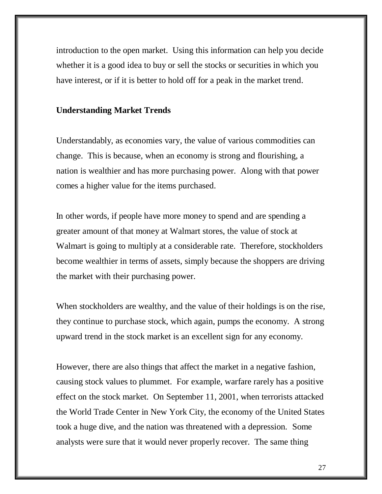introduction to the open market. Using this information can help you decide whether it is a good idea to buy or sell the stocks or securities in which you have interest, or if it is better to hold off for a peak in the market trend.

# **Understanding Market Trends**

Understandably, as economies vary, the value of various commodities can change. This is because, when an economy is strong and flourishing, a nation is wealthier and has more purchasing power. Along with that power comes a higher value for the items purchased.

In other words, if people have more money to spend and are spending a greater amount of that money at Walmart stores, the value of stock at Walmart is going to multiply at a considerable rate. Therefore, stockholders become wealthier in terms of assets, simply because the shoppers are driving the market with their purchasing power.

When stockholders are wealthy, and the value of their holdings is on the rise, they continue to purchase stock, which again, pumps the economy. A strong upward trend in the stock market is an excellent sign for any economy.

However, there are also things that affect the market in a negative fashion, causing stock values to plummet. For example, warfare rarely has a positive effect on the stock market. On September 11, 2001, when terrorists attacked the World Trade Center in New York City, the economy of the United States took a huge dive, and the nation was threatened with a depression. Some analysts were sure that it would never properly recover. The same thing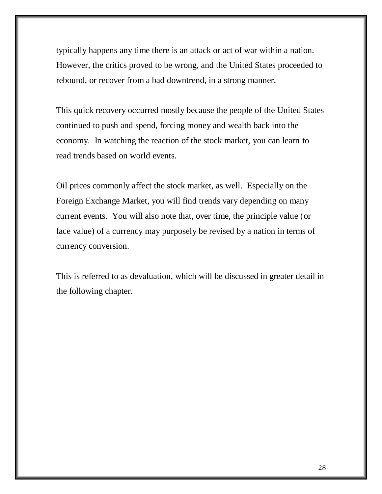typically happens any time there is an attack or act of war within a nation. However, the critics proved to be wrong, and the United States proceeded to rebound, or recover from a bad downtrend, in a strong manner.

This quick recovery occurred mostly because the people of the United States continued to push and spend, forcing money and wealth back into the economy. In watching the reaction of the stock market, you can learn to read trends based on world events.

Oil prices commonly affect the stock market, as well. Especially on the Foreign Exchange Market, you will find trends vary depending on many current events. You will also note that, over time, the principle value (or face value) of a currency may purposely be revised by a nation in terms of currency conversion.

This is referred to as devaluation, which will be discussed in greater detail in the following chapter.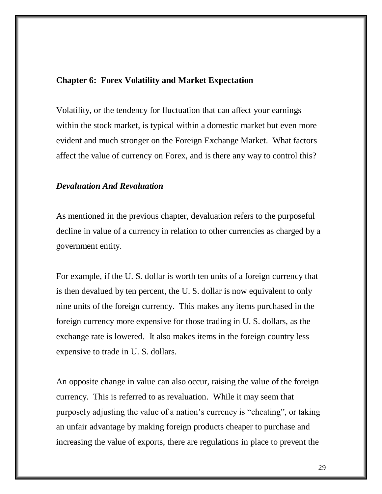# **Chapter 6: Forex Volatility and Market Expectation**

Volatility, or the tendency for fluctuation that can affect your earnings within the stock market, is typical within a domestic market but even more evident and much stronger on the Foreign Exchange Market. What factors affect the value of currency on Forex, and is there any way to control this?

# *Devaluation And Revaluation*

As mentioned in the previous chapter, devaluation refers to the purposeful decline in value of a currency in relation to other currencies as charged by a government entity.

For example, if the U. S. dollar is worth ten units of a foreign currency that is then devalued by ten percent, the U. S. dollar is now equivalent to only nine units of the foreign currency. This makes any items purchased in the foreign currency more expensive for those trading in U. S. dollars, as the exchange rate is lowered. It also makes items in the foreign country less expensive to trade in U. S. dollars.

An opposite change in value can also occur, raising the value of the foreign currency. This is referred to as revaluation. While it may seem that purposely adjusting the value of a nation's currency is "cheating", or taking an unfair advantage by making foreign products cheaper to purchase and increasing the value of exports, there are regulations in place to prevent the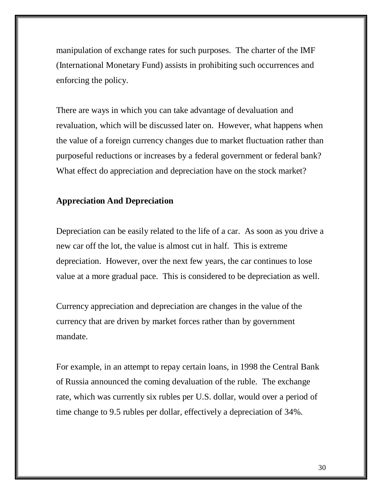manipulation of exchange rates for such purposes. The charter of the IMF (International Monetary Fund) assists in prohibiting such occurrences and enforcing the policy.

There are ways in which you can take advantage of devaluation and revaluation, which will be discussed later on. However, what happens when the value of a foreign currency changes due to market fluctuation rather than purposeful reductions or increases by a federal government or federal bank? What effect do appreciation and depreciation have on the stock market?

## **Appreciation And Depreciation**

Depreciation can be easily related to the life of a car. As soon as you drive a new car off the lot, the value is almost cut in half. This is extreme depreciation. However, over the next few years, the car continues to lose value at a more gradual pace. This is considered to be depreciation as well.

Currency appreciation and depreciation are changes in the value of the currency that are driven by market forces rather than by government mandate.

For example, in an attempt to repay certain loans, in 1998 the Central Bank of Russia announced the coming devaluation of the ruble. The exchange rate, which was currently six rubles per U.S. dollar, would over a period of time change to 9.5 rubles per dollar, effectively a depreciation of 34%.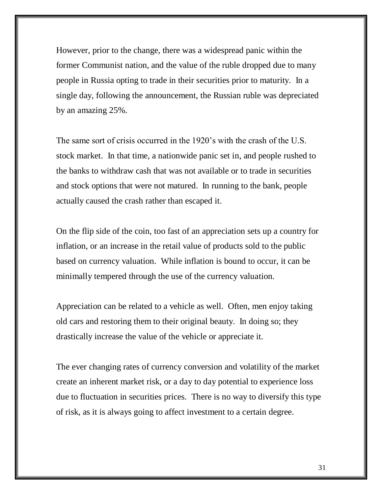However, prior to the change, there was a widespread panic within the former Communist nation, and the value of the ruble dropped due to many people in Russia opting to trade in their securities prior to maturity. In a single day, following the announcement, the Russian ruble was depreciated by an amazing 25%.

The same sort of crisis occurred in the 1920's with the crash of the U.S. stock market. In that time, a nationwide panic set in, and people rushed to the banks to withdraw cash that was not available or to trade in securities and stock options that were not matured. In running to the bank, people actually caused the crash rather than escaped it.

On the flip side of the coin, too fast of an appreciation sets up a country for inflation, or an increase in the retail value of products sold to the public based on currency valuation. While inflation is bound to occur, it can be minimally tempered through the use of the currency valuation.

Appreciation can be related to a vehicle as well. Often, men enjoy taking old cars and restoring them to their original beauty. In doing so; they drastically increase the value of the vehicle or appreciate it.

The ever changing rates of currency conversion and volatility of the market create an inherent market risk, or a day to day potential to experience loss due to fluctuation in securities prices. There is no way to diversify this type of risk, as it is always going to affect investment to a certain degree.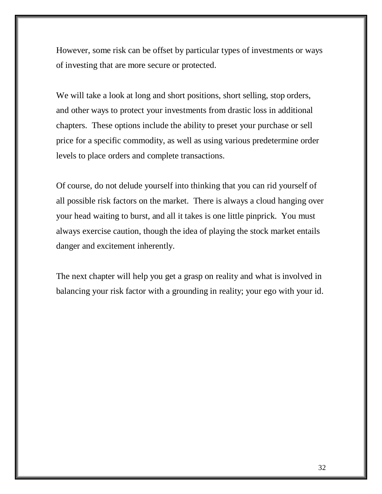However, some risk can be offset by particular types of investments or ways of investing that are more secure or protected.

We will take a look at long and short positions, short selling, stop orders, and other ways to protect your investments from drastic loss in additional chapters. These options include the ability to preset your purchase or sell price for a specific commodity, as well as using various predetermine order levels to place orders and complete transactions.

Of course, do not delude yourself into thinking that you can rid yourself of all possible risk factors on the market. There is always a cloud hanging over your head waiting to burst, and all it takes is one little pinprick. You must always exercise caution, though the idea of playing the stock market entails danger and excitement inherently.

The next chapter will help you get a grasp on reality and what is involved in balancing your risk factor with a grounding in reality; your ego with your id.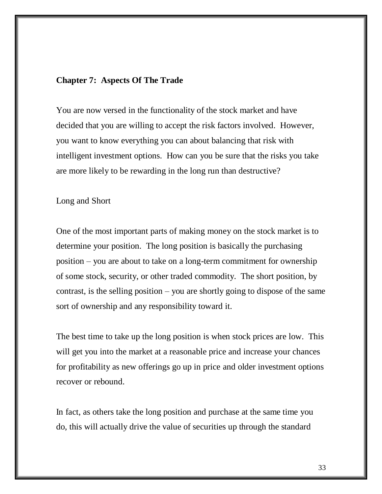# **Chapter 7: Aspects Of The Trade**

You are now versed in the functionality of the stock market and have decided that you are willing to accept the risk factors involved. However, you want to know everything you can about balancing that risk with intelligent investment options. How can you be sure that the risks you take are more likely to be rewarding in the long run than destructive?

#### Long and Short

One of the most important parts of making money on the stock market is to determine your position. The long position is basically the purchasing position – you are about to take on a long-term commitment for ownership of some stock, security, or other traded commodity. The short position, by contrast, is the selling position – you are shortly going to dispose of the same sort of ownership and any responsibility toward it.

The best time to take up the long position is when stock prices are low. This will get you into the market at a reasonable price and increase your chances for profitability as new offerings go up in price and older investment options recover or rebound.

In fact, as others take the long position and purchase at the same time you do, this will actually drive the value of securities up through the standard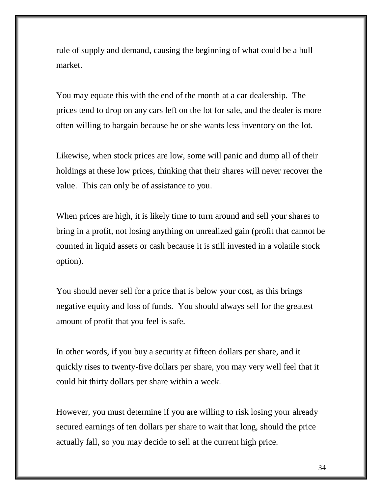rule of supply and demand, causing the beginning of what could be a bull market.

You may equate this with the end of the month at a car dealership. The prices tend to drop on any cars left on the lot for sale, and the dealer is more often willing to bargain because he or she wants less inventory on the lot.

Likewise, when stock prices are low, some will panic and dump all of their holdings at these low prices, thinking that their shares will never recover the value. This can only be of assistance to you.

When prices are high, it is likely time to turn around and sell your shares to bring in a profit, not losing anything on unrealized gain (profit that cannot be counted in liquid assets or cash because it is still invested in a volatile stock option).

You should never sell for a price that is below your cost, as this brings negative equity and loss of funds. You should always sell for the greatest amount of profit that you feel is safe.

In other words, if you buy a security at fifteen dollars per share, and it quickly rises to twenty-five dollars per share, you may very well feel that it could hit thirty dollars per share within a week.

However, you must determine if you are willing to risk losing your already secured earnings of ten dollars per share to wait that long, should the price actually fall, so you may decide to sell at the current high price.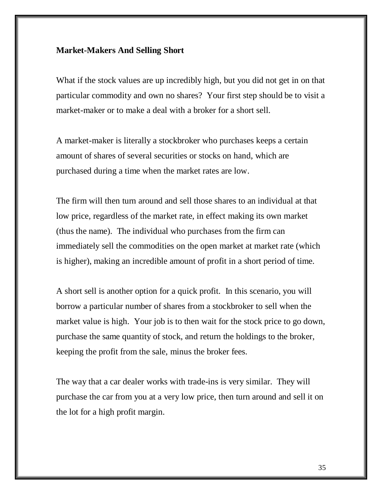## **Market-Makers And Selling Short**

What if the stock values are up incredibly high, but you did not get in on that particular commodity and own no shares? Your first step should be to visit a market-maker or to make a deal with a broker for a short sell.

A market-maker is literally a stockbroker who purchases keeps a certain amount of shares of several securities or stocks on hand, which are purchased during a time when the market rates are low.

The firm will then turn around and sell those shares to an individual at that low price, regardless of the market rate, in effect making its own market (thus the name). The individual who purchases from the firm can immediately sell the commodities on the open market at market rate (which is higher), making an incredible amount of profit in a short period of time.

A short sell is another option for a quick profit. In this scenario, you will borrow a particular number of shares from a stockbroker to sell when the market value is high. Your job is to then wait for the stock price to go down, purchase the same quantity of stock, and return the holdings to the broker, keeping the profit from the sale, minus the broker fees.

The way that a car dealer works with trade-ins is very similar. They will purchase the car from you at a very low price, then turn around and sell it on the lot for a high profit margin.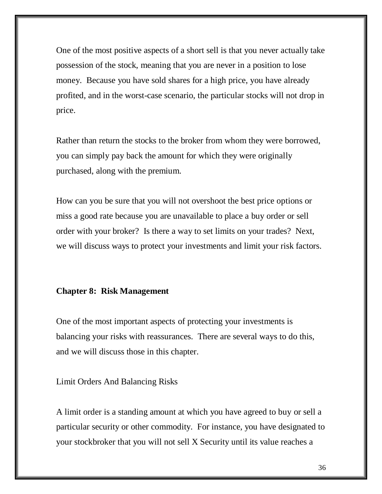One of the most positive aspects of a short sell is that you never actually take possession of the stock, meaning that you are never in a position to lose money. Because you have sold shares for a high price, you have already profited, and in the worst-case scenario, the particular stocks will not drop in price.

Rather than return the stocks to the broker from whom they were borrowed, you can simply pay back the amount for which they were originally purchased, along with the premium.

How can you be sure that you will not overshoot the best price options or miss a good rate because you are unavailable to place a buy order or sell order with your broker? Is there a way to set limits on your trades? Next, we will discuss ways to protect your investments and limit your risk factors.

#### **Chapter 8: Risk Management**

One of the most important aspects of protecting your investments is balancing your risks with reassurances. There are several ways to do this, and we will discuss those in this chapter.

#### Limit Orders And Balancing Risks

A limit order is a standing amount at which you have agreed to buy or sell a particular security or other commodity. For instance, you have designated to your stockbroker that you will not sell X Security until its value reaches a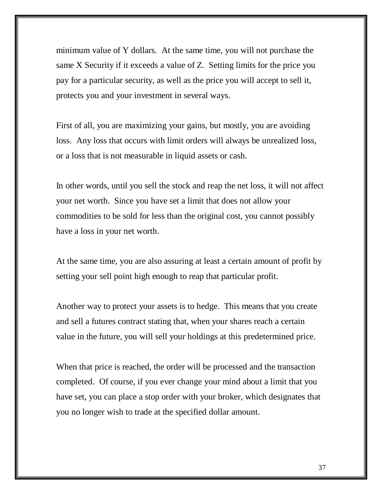minimum value of Y dollars. At the same time, you will not purchase the same X Security if it exceeds a value of Z. Setting limits for the price you pay for a particular security, as well as the price you will accept to sell it, protects you and your investment in several ways.

First of all, you are maximizing your gains, but mostly, you are avoiding loss. Any loss that occurs with limit orders will always be unrealized loss, or a loss that is not measurable in liquid assets or cash.

In other words, until you sell the stock and reap the net loss, it will not affect your net worth. Since you have set a limit that does not allow your commodities to be sold for less than the original cost, you cannot possibly have a loss in your net worth.

At the same time, you are also assuring at least a certain amount of profit by setting your sell point high enough to reap that particular profit.

Another way to protect your assets is to hedge. This means that you create and sell a futures contract stating that, when your shares reach a certain value in the future, you will sell your holdings at this predetermined price.

When that price is reached, the order will be processed and the transaction completed. Of course, if you ever change your mind about a limit that you have set, you can place a stop order with your broker, which designates that you no longer wish to trade at the specified dollar amount.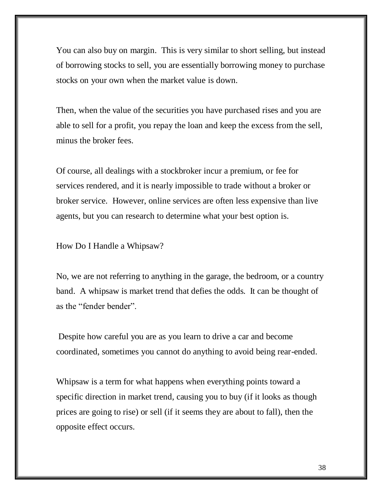You can also buy on margin. This is very similar to short selling, but instead of borrowing stocks to sell, you are essentially borrowing money to purchase stocks on your own when the market value is down.

Then, when the value of the securities you have purchased rises and you are able to sell for a profit, you repay the loan and keep the excess from the sell, minus the broker fees.

Of course, all dealings with a stockbroker incur a premium, or fee for services rendered, and it is nearly impossible to trade without a broker or broker service. However, online services are often less expensive than live agents, but you can research to determine what your best option is.

How Do I Handle a Whipsaw?

No, we are not referring to anything in the garage, the bedroom, or a country band. A whipsaw is market trend that defies the odds. It can be thought of as the "fender bender".

Despite how careful you are as you learn to drive a car and become coordinated, sometimes you cannot do anything to avoid being rear-ended.

Whipsaw is a term for what happens when everything points toward a specific direction in market trend, causing you to buy (if it looks as though prices are going to rise) or sell (if it seems they are about to fall), then the opposite effect occurs.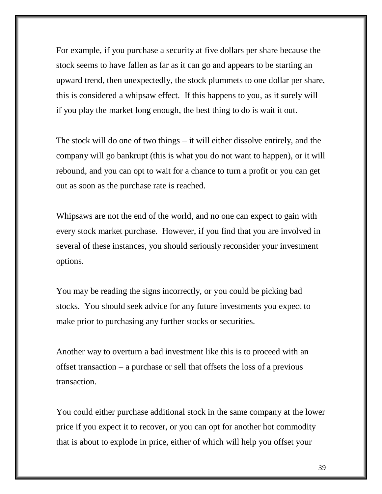For example, if you purchase a security at five dollars per share because the stock seems to have fallen as far as it can go and appears to be starting an upward trend, then unexpectedly, the stock plummets to one dollar per share, this is considered a whipsaw effect. If this happens to you, as it surely will if you play the market long enough, the best thing to do is wait it out.

The stock will do one of two things – it will either dissolve entirely, and the company will go bankrupt (this is what you do not want to happen), or it will rebound, and you can opt to wait for a chance to turn a profit or you can get out as soon as the purchase rate is reached.

Whipsaws are not the end of the world, and no one can expect to gain with every stock market purchase. However, if you find that you are involved in several of these instances, you should seriously reconsider your investment options.

You may be reading the signs incorrectly, or you could be picking bad stocks. You should seek advice for any future investments you expect to make prior to purchasing any further stocks or securities.

Another way to overturn a bad investment like this is to proceed with an offset transaction – a purchase or sell that offsets the loss of a previous transaction.

You could either purchase additional stock in the same company at the lower price if you expect it to recover, or you can opt for another hot commodity that is about to explode in price, either of which will help you offset your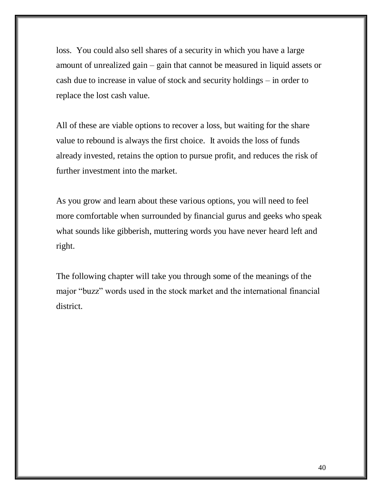loss. You could also sell shares of a security in which you have a large amount of unrealized gain – gain that cannot be measured in liquid assets or cash due to increase in value of stock and security holdings – in order to replace the lost cash value.

All of these are viable options to recover a loss, but waiting for the share value to rebound is always the first choice. It avoids the loss of funds already invested, retains the option to pursue profit, and reduces the risk of further investment into the market.

As you grow and learn about these various options, you will need to feel more comfortable when surrounded by financial gurus and geeks who speak what sounds like gibberish, muttering words you have never heard left and right.

The following chapter will take you through some of the meanings of the major "buzz" words used in the stock market and the international financial district.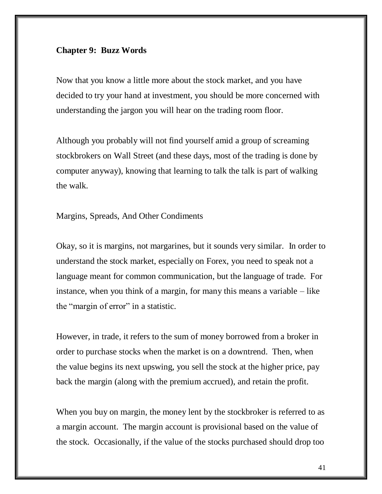#### **Chapter 9: Buzz Words**

Now that you know a little more about the stock market, and you have decided to try your hand at investment, you should be more concerned with understanding the jargon you will hear on the trading room floor.

Although you probably will not find yourself amid a group of screaming stockbrokers on Wall Street (and these days, most of the trading is done by computer anyway), knowing that learning to talk the talk is part of walking the walk.

Margins, Spreads, And Other Condiments

Okay, so it is margins, not margarines, but it sounds very similar. In order to understand the stock market, especially on Forex, you need to speak not a language meant for common communication, but the language of trade. For instance, when you think of a margin, for many this means a variable – like the "margin of error" in a statistic.

However, in trade, it refers to the sum of money borrowed from a broker in order to purchase stocks when the market is on a downtrend. Then, when the value begins its next upswing, you sell the stock at the higher price, pay back the margin (along with the premium accrued), and retain the profit.

When you buy on margin, the money lent by the stockbroker is referred to as a margin account. The margin account is provisional based on the value of the stock. Occasionally, if the value of the stocks purchased should drop too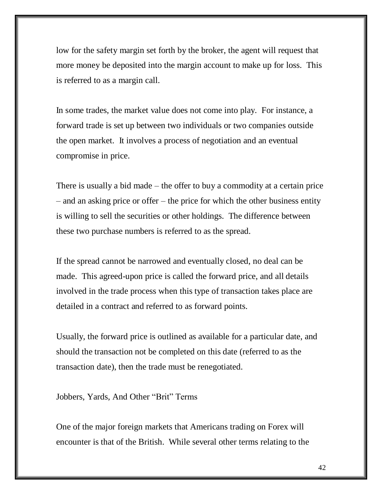low for the safety margin set forth by the broker, the agent will request that more money be deposited into the margin account to make up for loss. This is referred to as a margin call.

In some trades, the market value does not come into play. For instance, a forward trade is set up between two individuals or two companies outside the open market. It involves a process of negotiation and an eventual compromise in price.

There is usually a bid made – the offer to buy a commodity at a certain price – and an asking price or offer – the price for which the other business entity is willing to sell the securities or other holdings. The difference between these two purchase numbers is referred to as the spread.

If the spread cannot be narrowed and eventually closed, no deal can be made. This agreed-upon price is called the forward price, and all details involved in the trade process when this type of transaction takes place are detailed in a contract and referred to as forward points.

Usually, the forward price is outlined as available for a particular date, and should the transaction not be completed on this date (referred to as the transaction date), then the trade must be renegotiated.

Jobbers, Yards, And Other "Brit" Terms

One of the major foreign markets that Americans trading on Forex will encounter is that of the British. While several other terms relating to the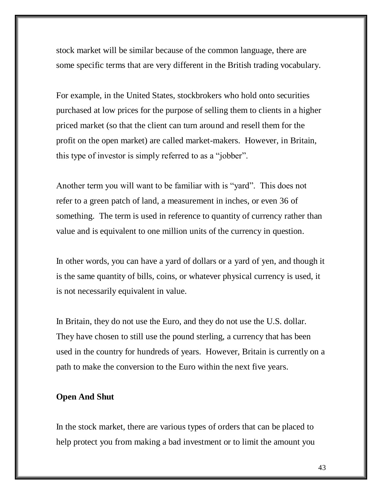stock market will be similar because of the common language, there are some specific terms that are very different in the British trading vocabulary.

For example, in the United States, stockbrokers who hold onto securities purchased at low prices for the purpose of selling them to clients in a higher priced market (so that the client can turn around and resell them for the profit on the open market) are called market-makers. However, in Britain, this type of investor is simply referred to as a "jobber".

Another term you will want to be familiar with is "yard". This does not refer to a green patch of land, a measurement in inches, or even 36 of something. The term is used in reference to quantity of currency rather than value and is equivalent to one million units of the currency in question.

In other words, you can have a yard of dollars or a yard of yen, and though it is the same quantity of bills, coins, or whatever physical currency is used, it is not necessarily equivalent in value.

In Britain, they do not use the Euro, and they do not use the U.S. dollar. They have chosen to still use the pound sterling, a currency that has been used in the country for hundreds of years. However, Britain is currently on a path to make the conversion to the Euro within the next five years.

# **Open And Shut**

In the stock market, there are various types of orders that can be placed to help protect you from making a bad investment or to limit the amount you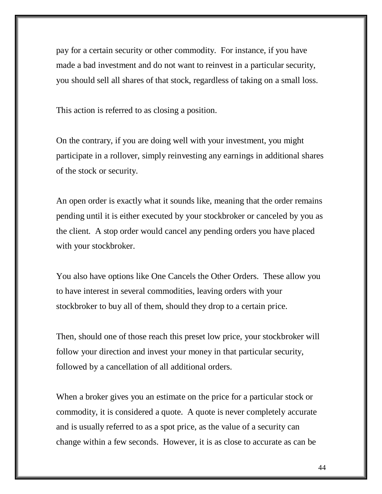pay for a certain security or other commodity. For instance, if you have made a bad investment and do not want to reinvest in a particular security, you should sell all shares of that stock, regardless of taking on a small loss.

This action is referred to as closing a position.

On the contrary, if you are doing well with your investment, you might participate in a rollover, simply reinvesting any earnings in additional shares of the stock or security.

An open order is exactly what it sounds like, meaning that the order remains pending until it is either executed by your stockbroker or canceled by you as the client. A stop order would cancel any pending orders you have placed with your stockbroker.

You also have options like One Cancels the Other Orders. These allow you to have interest in several commodities, leaving orders with your stockbroker to buy all of them, should they drop to a certain price.

Then, should one of those reach this preset low price, your stockbroker will follow your direction and invest your money in that particular security, followed by a cancellation of all additional orders.

When a broker gives you an estimate on the price for a particular stock or commodity, it is considered a quote. A quote is never completely accurate and is usually referred to as a spot price, as the value of a security can change within a few seconds. However, it is as close to accurate as can be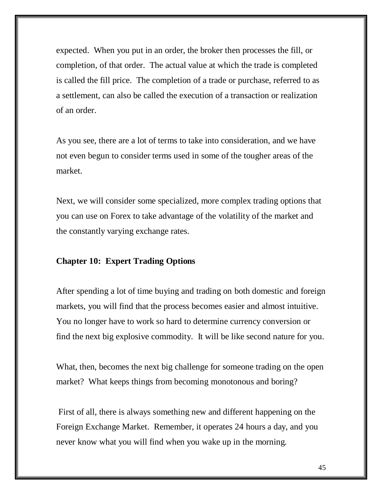expected. When you put in an order, the broker then processes the fill, or completion, of that order. The actual value at which the trade is completed is called the fill price. The completion of a trade or purchase, referred to as a settlement, can also be called the execution of a transaction or realization of an order.

As you see, there are a lot of terms to take into consideration, and we have not even begun to consider terms used in some of the tougher areas of the market.

Next, we will consider some specialized, more complex trading options that you can use on Forex to take advantage of the volatility of the market and the constantly varying exchange rates.

# **Chapter 10: Expert Trading Options**

After spending a lot of time buying and trading on both domestic and foreign markets, you will find that the process becomes easier and almost intuitive. You no longer have to work so hard to determine currency conversion or find the next big explosive commodity. It will be like second nature for you.

What, then, becomes the next big challenge for someone trading on the open market? What keeps things from becoming monotonous and boring?

First of all, there is always something new and different happening on the Foreign Exchange Market. Remember, it operates 24 hours a day, and you never know what you will find when you wake up in the morning.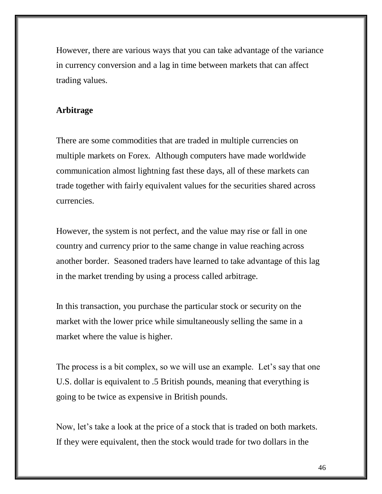However, there are various ways that you can take advantage of the variance in currency conversion and a lag in time between markets that can affect trading values.

## **Arbitrage**

There are some commodities that are traded in multiple currencies on multiple markets on Forex. Although computers have made worldwide communication almost lightning fast these days, all of these markets can trade together with fairly equivalent values for the securities shared across currencies.

However, the system is not perfect, and the value may rise or fall in one country and currency prior to the same change in value reaching across another border. Seasoned traders have learned to take advantage of this lag in the market trending by using a process called arbitrage.

In this transaction, you purchase the particular stock or security on the market with the lower price while simultaneously selling the same in a market where the value is higher.

The process is a bit complex, so we will use an example. Let's say that one U.S. dollar is equivalent to .5 British pounds, meaning that everything is going to be twice as expensive in British pounds.

Now, let's take a look at the price of a stock that is traded on both markets. If they were equivalent, then the stock would trade for two dollars in the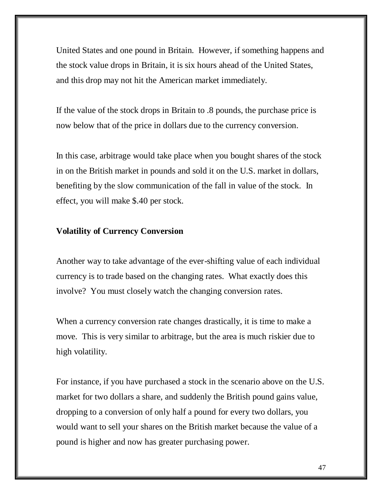United States and one pound in Britain. However, if something happens and the stock value drops in Britain, it is six hours ahead of the United States, and this drop may not hit the American market immediately.

If the value of the stock drops in Britain to .8 pounds, the purchase price is now below that of the price in dollars due to the currency conversion.

In this case, arbitrage would take place when you bought shares of the stock in on the British market in pounds and sold it on the U.S. market in dollars, benefiting by the slow communication of the fall in value of the stock. In effect, you will make \$.40 per stock.

## **Volatility of Currency Conversion**

Another way to take advantage of the ever-shifting value of each individual currency is to trade based on the changing rates. What exactly does this involve? You must closely watch the changing conversion rates.

When a currency conversion rate changes drastically, it is time to make a move. This is very similar to arbitrage, but the area is much riskier due to high volatility.

For instance, if you have purchased a stock in the scenario above on the U.S. market for two dollars a share, and suddenly the British pound gains value, dropping to a conversion of only half a pound for every two dollars, you would want to sell your shares on the British market because the value of a pound is higher and now has greater purchasing power.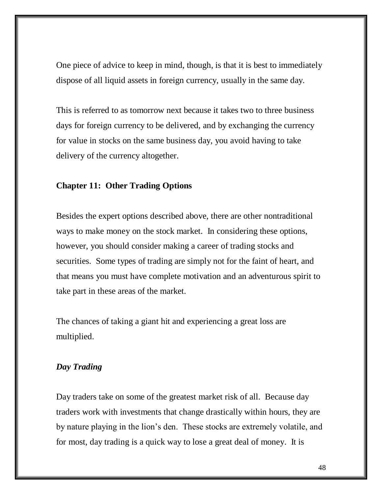One piece of advice to keep in mind, though, is that it is best to immediately dispose of all liquid assets in foreign currency, usually in the same day.

This is referred to as tomorrow next because it takes two to three business days for foreign currency to be delivered, and by exchanging the currency for value in stocks on the same business day, you avoid having to take delivery of the currency altogether.

# **Chapter 11: Other Trading Options**

Besides the expert options described above, there are other nontraditional ways to make money on the stock market. In considering these options, however, you should consider making a career of trading stocks and securities. Some types of trading are simply not for the faint of heart, and that means you must have complete motivation and an adventurous spirit to take part in these areas of the market.

The chances of taking a giant hit and experiencing a great loss are multiplied.

# *Day Trading*

Day traders take on some of the greatest market risk of all. Because day traders work with investments that change drastically within hours, they are by nature playing in the lion's den. These stocks are extremely volatile, and for most, day trading is a quick way to lose a great deal of money. It is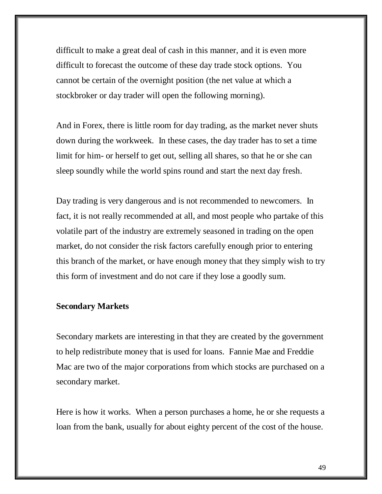difficult to make a great deal of cash in this manner, and it is even more difficult to forecast the outcome of these day trade stock options. You cannot be certain of the overnight position (the net value at which a stockbroker or day trader will open the following morning).

And in Forex, there is little room for day trading, as the market never shuts down during the workweek. In these cases, the day trader has to set a time limit for him- or herself to get out, selling all shares, so that he or she can sleep soundly while the world spins round and start the next day fresh.

Day trading is very dangerous and is not recommended to newcomers. In fact, it is not really recommended at all, and most people who partake of this volatile part of the industry are extremely seasoned in trading on the open market, do not consider the risk factors carefully enough prior to entering this branch of the market, or have enough money that they simply wish to try this form of investment and do not care if they lose a goodly sum.

# **Secondary Markets**

Secondary markets are interesting in that they are created by the government to help redistribute money that is used for loans. Fannie Mae and Freddie Mac are two of the major corporations from which stocks are purchased on a secondary market.

Here is how it works. When a person purchases a home, he or she requests a loan from the bank, usually for about eighty percent of the cost of the house.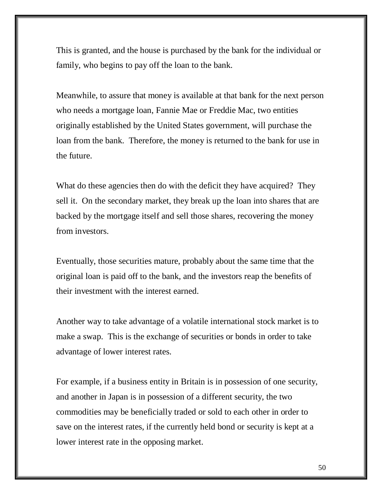This is granted, and the house is purchased by the bank for the individual or family, who begins to pay off the loan to the bank.

Meanwhile, to assure that money is available at that bank for the next person who needs a mortgage loan, Fannie Mae or Freddie Mac, two entities originally established by the United States government, will purchase the loan from the bank. Therefore, the money is returned to the bank for use in the future.

What do these agencies then do with the deficit they have acquired? They sell it. On the secondary market, they break up the loan into shares that are backed by the mortgage itself and sell those shares, recovering the money from investors.

Eventually, those securities mature, probably about the same time that the original loan is paid off to the bank, and the investors reap the benefits of their investment with the interest earned.

Another way to take advantage of a volatile international stock market is to make a swap. This is the exchange of securities or bonds in order to take advantage of lower interest rates.

For example, if a business entity in Britain is in possession of one security, and another in Japan is in possession of a different security, the two commodities may be beneficially traded or sold to each other in order to save on the interest rates, if the currently held bond or security is kept at a lower interest rate in the opposing market.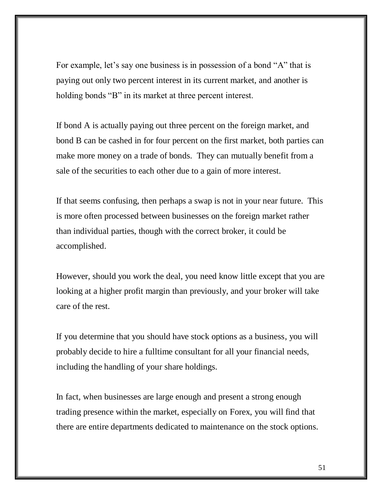For example, let's say one business is in possession of a bond "A" that is paying out only two percent interest in its current market, and another is holding bonds "B" in its market at three percent interest.

If bond A is actually paying out three percent on the foreign market, and bond B can be cashed in for four percent on the first market, both parties can make more money on a trade of bonds. They can mutually benefit from a sale of the securities to each other due to a gain of more interest.

If that seems confusing, then perhaps a swap is not in your near future. This is more often processed between businesses on the foreign market rather than individual parties, though with the correct broker, it could be accomplished.

However, should you work the deal, you need know little except that you are looking at a higher profit margin than previously, and your broker will take care of the rest.

If you determine that you should have stock options as a business, you will probably decide to hire a fulltime consultant for all your financial needs, including the handling of your share holdings.

In fact, when businesses are large enough and present a strong enough trading presence within the market, especially on Forex, you will find that there are entire departments dedicated to maintenance on the stock options.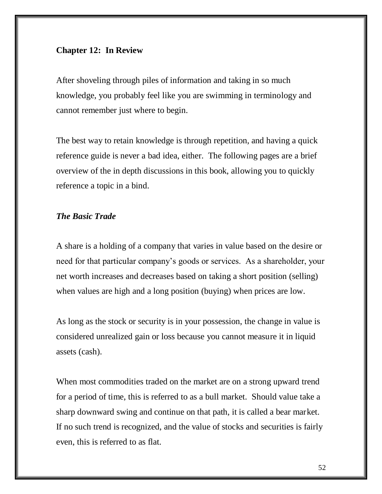## **Chapter 12: In Review**

After shoveling through piles of information and taking in so much knowledge, you probably feel like you are swimming in terminology and cannot remember just where to begin.

The best way to retain knowledge is through repetition, and having a quick reference guide is never a bad idea, either. The following pages are a brief overview of the in depth discussions in this book, allowing you to quickly reference a topic in a bind.

## *The Basic Trade*

A share is a holding of a company that varies in value based on the desire or need for that particular company's goods or services. As a shareholder, your net worth increases and decreases based on taking a short position (selling) when values are high and a long position (buying) when prices are low.

As long as the stock or security is in your possession, the change in value is considered unrealized gain or loss because you cannot measure it in liquid assets (cash).

When most commodities traded on the market are on a strong upward trend for a period of time, this is referred to as a bull market. Should value take a sharp downward swing and continue on that path, it is called a bear market. If no such trend is recognized, and the value of stocks and securities is fairly even, this is referred to as flat.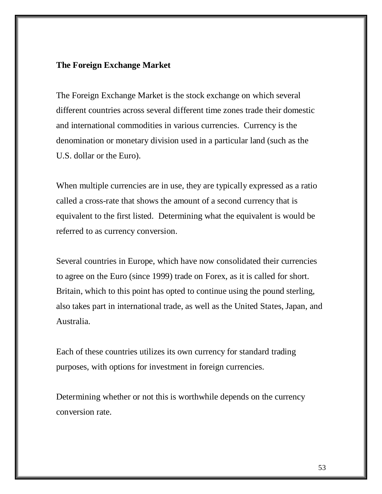## **The Foreign Exchange Market**

The Foreign Exchange Market is the stock exchange on which several different countries across several different time zones trade their domestic and international commodities in various currencies. Currency is the denomination or monetary division used in a particular land (such as the U.S. dollar or the Euro).

When multiple currencies are in use, they are typically expressed as a ratio called a cross-rate that shows the amount of a second currency that is equivalent to the first listed. Determining what the equivalent is would be referred to as currency conversion.

Several countries in Europe, which have now consolidated their currencies to agree on the Euro (since 1999) trade on Forex, as it is called for short. Britain, which to this point has opted to continue using the pound sterling, also takes part in international trade, as well as the United States, Japan, and Australia.

Each of these countries utilizes its own currency for standard trading purposes, with options for investment in foreign currencies.

Determining whether or not this is worthwhile depends on the currency conversion rate.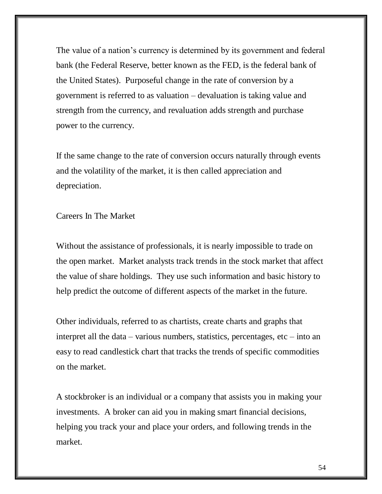The value of a nation's currency is determined by its government and federal bank (the Federal Reserve, better known as the FED, is the federal bank of the United States). Purposeful change in the rate of conversion by a government is referred to as valuation – devaluation is taking value and strength from the currency, and revaluation adds strength and purchase power to the currency.

If the same change to the rate of conversion occurs naturally through events and the volatility of the market, it is then called appreciation and depreciation.

## Careers In The Market

Without the assistance of professionals, it is nearly impossible to trade on the open market. Market analysts track trends in the stock market that affect the value of share holdings. They use such information and basic history to help predict the outcome of different aspects of the market in the future.

Other individuals, referred to as chartists, create charts and graphs that interpret all the data – various numbers, statistics, percentages, etc – into an easy to read candlestick chart that tracks the trends of specific commodities on the market.

A stockbroker is an individual or a company that assists you in making your investments. A broker can aid you in making smart financial decisions, helping you track your and place your orders, and following trends in the market.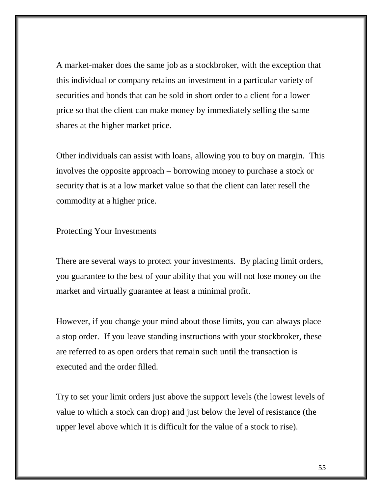A market-maker does the same job as a stockbroker, with the exception that this individual or company retains an investment in a particular variety of securities and bonds that can be sold in short order to a client for a lower price so that the client can make money by immediately selling the same shares at the higher market price.

Other individuals can assist with loans, allowing you to buy on margin. This involves the opposite approach – borrowing money to purchase a stock or security that is at a low market value so that the client can later resell the commodity at a higher price.

## Protecting Your Investments

There are several ways to protect your investments. By placing limit orders, you guarantee to the best of your ability that you will not lose money on the market and virtually guarantee at least a minimal profit.

However, if you change your mind about those limits, you can always place a stop order. If you leave standing instructions with your stockbroker, these are referred to as open orders that remain such until the transaction is executed and the order filled.

Try to set your limit orders just above the support levels (the lowest levels of value to which a stock can drop) and just below the level of resistance (the upper level above which it is difficult for the value of a stock to rise).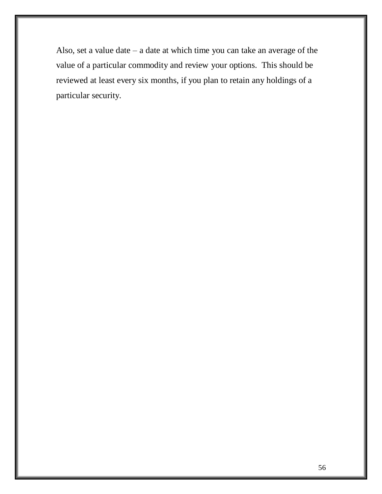Also, set a value date – a date at which time you can take an average of the value of a particular commodity and review your options. This should be reviewed at least every six months, if you plan to retain any holdings of a particular security.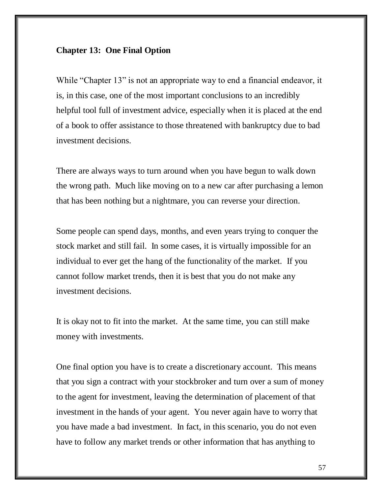## **Chapter 13: One Final Option**

While "Chapter 13" is not an appropriate way to end a financial endeavor, it is, in this case, one of the most important conclusions to an incredibly helpful tool full of investment advice, especially when it is placed at the end of a book to offer assistance to those threatened with bankruptcy due to bad investment decisions.

There are always ways to turn around when you have begun to walk down the wrong path. Much like moving on to a new car after purchasing a lemon that has been nothing but a nightmare, you can reverse your direction.

Some people can spend days, months, and even years trying to conquer the stock market and still fail. In some cases, it is virtually impossible for an individual to ever get the hang of the functionality of the market. If you cannot follow market trends, then it is best that you do not make any investment decisions.

It is okay not to fit into the market. At the same time, you can still make money with investments.

One final option you have is to create a discretionary account. This means that you sign a contract with your stockbroker and turn over a sum of money to the agent for investment, leaving the determination of placement of that investment in the hands of your agent. You never again have to worry that you have made a bad investment. In fact, in this scenario, you do not even have to follow any market trends or other information that has anything to